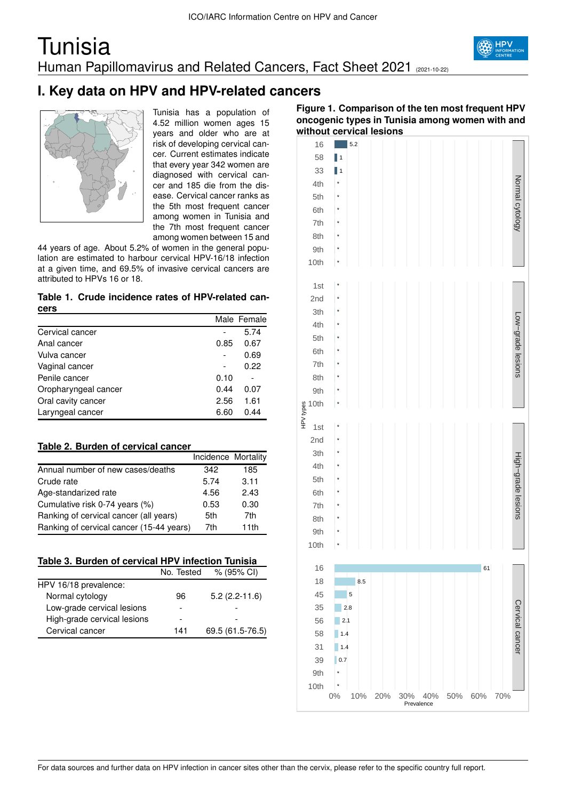### **Tunisia** Human Papillomavirus and Related Cancers, Fact Sheet 2021 (2021-10-22)



### **I. Key data on HPV and HPV-related cancers**



Tunisia has a population of 4.52 million women ages 15 years and older who are at risk of developing cervical cancer. Current estimates indicate that every year 342 women are diagnosed with cervical cancer and 185 die from the disease. Cervical cancer ranks as the 5th most frequent cancer among women in Tunisia and the 7th most frequent cancer among women between 15 and

44 years of age. About 5.2% of women in the general population are estimated to harbour cervical HPV-16/18 infection at a given time, and 69.5% of invasive cervical cancers are attributed to HPVs 16 or 18.

**Table 1. Crude incidence rates of HPV-related cancers**

|                      |      | Male Female |
|----------------------|------|-------------|
| Cervical cancer      |      | 5.74        |
| Anal cancer          | 0.85 | 0.67        |
| Vulva cancer         |      | 0.69        |
| Vaginal cancer       |      | 0.22        |
| Penile cancer        | 0.10 |             |
| Oropharyngeal cancer | 0.44 | 0.07        |
| Oral cavity cancer   | 2.56 | 1.61        |
| Laryngeal cancer     | 6.60 | 0.44        |

| Table 2. Burden of cervical cancer |  |
|------------------------------------|--|
|------------------------------------|--|

|                                          | Incidence Mortality |      |
|------------------------------------------|---------------------|------|
| Annual number of new cases/deaths        | 342                 | 185  |
| Crude rate                               | 5.74                | 3.11 |
| Age-standarized rate                     | 4.56                | 2.43 |
| Cumulative risk 0-74 years (%)           | 0.53                | 0.30 |
| Ranking of cervical cancer (all years)   | 5th                 | 7th  |
| Ranking of cervical cancer (15-44 years) | 7th                 | 11th |

|  | Table 3. Burden of cervical HPV infection Tunisia |
|--|---------------------------------------------------|
|  |                                                   |

|                             | No. Tested | % (95% CI)       |
|-----------------------------|------------|------------------|
| HPV 16/18 prevalence:       |            |                  |
| Normal cytology             | 96         | $5.2(2.2-11.6)$  |
| Low-grade cervical lesions  |            |                  |
| High-grade cervical lesions |            |                  |
| Cervical cancer             | 141        | 69.5 (61.5-76.5) |